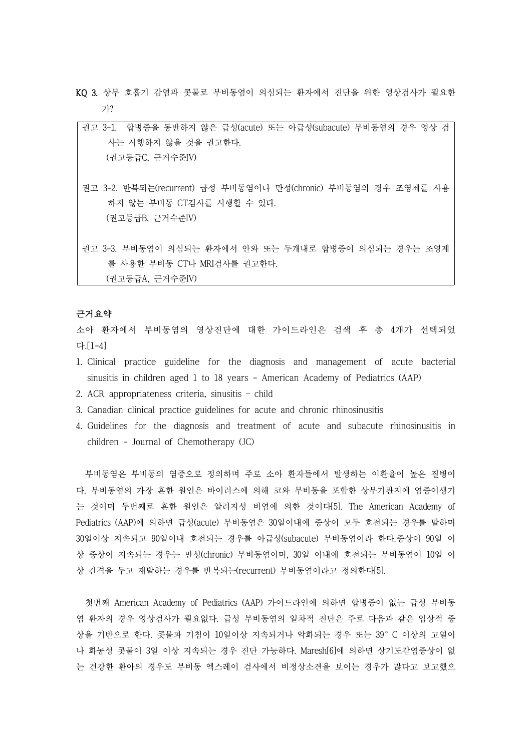- KQ 3. 상부 호흡기 감염과 콧물로 부비동염이 의심되는 환자에서 진단을 위한 영상검사가 필요한 가?
	- 권고 3-1. 합병증을 동반하지 않은 급성(acute) 또는 아급성(subacute) 부비동염의 경우 영상 검 사는 시행하지 않을 것을 권고한다. (권고등급C, 근거수준IV)
	- 권고 3-2. 반복되는(recurrent) 급성 부비동염이나 만성(chronic) 부비동염의 경우 조영제를 사용 하지 않는 부비동 CT검사를 시행할 수 있다. (권고등급B, 근거수준IV)

권고 3-3. 부비동염이 의심되는 환자에서 안와 또는 두개내로 합병증이 의심되는 경우는 조영제 를 사용한 부비동 CT나 MRI검사를 권고한다. (권고등급A, 근거수준IV)

# 근거요약

소아 환자에서 부비동염의 영상진단에 대한 가이드라인은 검색 후 총 4개가 선택되었 다.[1-4]

- 1. Clinical practice guideline for the diagnosis and management of acute bacterial sinusitis in children aged 1 to 18 years - American Academy of Pediatrics (AAP)
- 2. ACR appropriateness criteria, sinusitis child
- 3. Canadian clinical practice guidelines for acute and chronic rhinosinusitis
- 4. Guidelines for the diagnosis and treatment of acute and subacute rhinosinusitis in children - Journal of Chemotherapy (JC)

부비동염은 부비동의 염증으로 정의하며 주로 소아 환자들에서 발생하는 이환율이 높은 질병이 다. 부비동염의 가장 흔한 원인은 바이러스에 의해 코와 부비동을 포함한 상부기관지에 염증이생기 는 것이며 두번째로 흔한 원인은 알러지성 비염에 의한 것이다[5]. The American Academy of Pediatrics (AAP)에 의하면 급성(acute) 부비동염은 30일이내에 증상이 모두 호전되는 경우를 말하며 30일이상 지속되고 90일이내 호전되는 경우를 아급성(subacute) 부비동염이라 한다.증상이 90일 이 상 증상이 지속되는 경우는 만성(chronic) 부비동염이며, 30일 이내에 호전되는 부비동염이 10일 이 상 간격을 두고 재발하는 경우를 반복되는(recurrent) 부비동염이라고 정의한다[5].

첫번째 American Academy of Pediatrics (AAP) 가이드라인에 의하면 합병증이 없는 급성 부비동 염 환자의 경우 영상검사가 필요없다. 급성 부비동염의 일차적 진단은 주로 다음과 같은 임상적 증 상을 기반으로 한다. 콧물과 기침이 10일이상 지속되거나 악화되는 경우 또는 39°C 이상의 고열이 나 화농성 콧물이 3일 이상 지속되는 경우 진단 가능하다. Maresh[6]에 의하면 상기도감염증상이 없 는 건강한 환아의 경우도 부비동 엑스레이 검사에서 비정상소견을 보이는 경우가 많다고 보고했으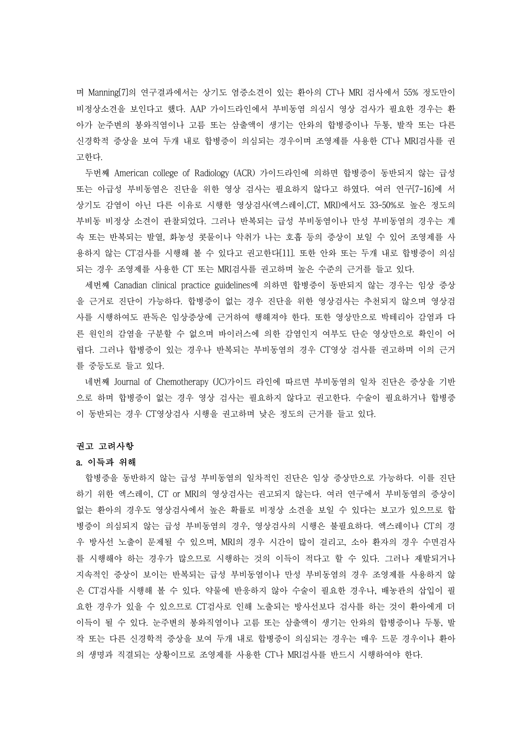며 Manning[7]의 연구결과에서는 상기도 염증소견이 있는 환아의 CT나 MRI 검사에서 55% 정도만이 비정상소견을 보인다고 했다. AAP 가이드라인에서 부비동염 의심시 영상 검사가 필요한 경우는 환 아가 눈주변의 봉와직염이나 고름 또는 삼출액이 생기는 안와의 합병증이나 두통, 발작 또는 다른 신경학적 증상을 보여 두개 내로 합병증이 의심되는 경우이며 조영제를 사용한 CT나 MRI검사를 권 고한다.<br>- 두번째 American college of Radiology (ACR) 가이드라인에 의하면 합병증이 동반되지 않는 급성

또는 아급성 부비동염은 진단을 위한 영상 검사는 필요하지 않다고 하였다. 여러 연구[7-16]에 서 상기도 감염이 아닌 다른 이유로 시행한 영상검사(엑스레이,CT, MRI)에서도 33-50%로 높은 정도의 부비동 비정상 소견이 관찰되었다. 그러나 반복되는 급성 부비동염이나 만성 부비동염의 경우는 계 속 또는 반복되는 발열, 화농성 콧물이나 악취가 나는 호흡 등의 증상이 보일 수 있어 조영제를 사 용하지 않는 CT검사를 시행해 볼 수 있다고 권고한다[11]. 또한 안와 또는 두개 내로 합병증이 의심 되는 경우 조영제를 사용한 CT 또는 MRI검사를 권고하며 높은 수준의 근거를 들고 있다.

세번째 Canadian clinical practice guidelines에 의하면 합병증이 동반되지 않는 경우는 임상 증상 을 근거로 진단이 가능하다. 합병증이 없는 경우 진단을 위한 영상검사는 추천되지 않으며 영상검 사를 시행하여도 판독은 임상증상에 근거하여 행해져야 한다. 또한 영상만으로 박테리아 감염과 다 른 원인의 감염을 구분할 수 없으며 바이러스에 의한 감염인지 여부도 단순 영상만으로 확인이 어 렵다. 그러나 합병증이 있는 경우나 반복되는 부비동염의 경우 CT영상 검사를 권고하며 이의 근거 를 중등도로 들고 있다.

네번째 Journal of Chemotherapy (JC)가이드 라인에 따르면 부비동염의 일차 진단은 증상을 기반 으로 하며 합병증이 없는 경우 영상 검사는 필요하지 않다고 권고한다. 수술이 필요하거나 합병증 이 동반되는 경우 CT영상검사 시행을 권고하며 낮은 정도의 근거를 들고 있다.

#### 권고 고려사항

#### a. 이득과 위해

합병증을 동반하지 않는 급성 부비동염의 일차적인 진단은 임상 증상만으로 가능하다. 이를 진단 하기 위한 엑스레이, CT or MRI의 영상검사는 권고되지 않는다. 여러 연구에서 부비동염의 증상이 없는 환아의 경우도 영상검사에서 높은 확률로 비정상 소견을 보일 수 있다는 보고가 있으므로 합 병증이 의심되지 않는 급성 부비동염의 경우, 영상검사의 시행은 불필요하다. 엑스레이나 CT의 경 우 방사선 노출이 문제될 수 있으며, MRI의 경우 시간이 많이 걸리고, 소아 환자의 경우 수면검사 를 시행해야 하는 경우가 많으므로 시행하는 것의 이득이 적다고 할 수 있다. 그러나 재발되거나 지속적인 증상이 보이는 반복되는 급성 부비동염이나 만성 부비동염의 경우 조영제를 사용하지 않 은 CT검사를 시행해 볼 수 있다. 약물에 반응하지 않아 수술이 필요한 경우나, 배농관의 삽입이 필 요한 경우가 있을 수 있으므로 CT검사로 인해 노출되는 방사선보다 검사를 하는 것이 환아에게 더 이득이 될 수 있다. 눈주변의 봉와직염이나 고름 또는 삼출액이 생기는 안와의 합병증이나 두통, 발 작 또는 다른 신경학적 증상을 보여 두개 내로 합병증이 의심되는 경우는 매우 드문 경우이나 환아 의 생명과 직결되는 상황이므로 조영제를 사용한 CT나 MRI검사를 반드시 시행하여야 한다.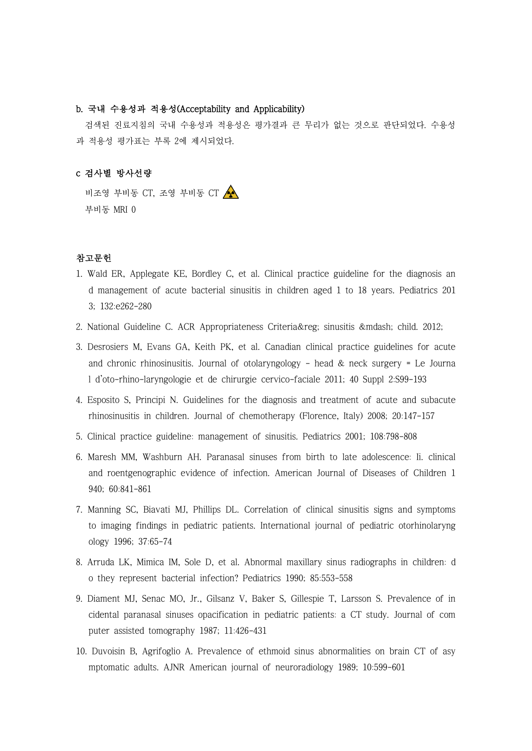### b. 국내 수용성과 적용성(Acceptability and Applicability)

검색된 진료지침의 국내 수용성과 적용성은 평가결과 큰 무리가 없는 것으로 판단되었다. 수용성 과 적용성 평가표는 부록 2에 제시되었다.

#### c 검사별 방사선량

비조영 부비동 CT, 조영 부비동 CT 부비동 MRI 0

## 참고문헌

- 1. Wald ER, Applegate KE, Bordley C, et al. Clinical practice guideline for the diagnosis an d management of acute bacterial sinusitis in children aged 1 to 18 years. Pediatrics 201 3; 132:e262-280
- 2. National Guideline C. ACR Appropriateness Criteria& reg; sinusitis & mdash; child. 2012;
- 3. Desrosiers M, Evans GA, Keith PK, et al. Canadian clinical practice guidelines for acute and chronic rhinosinusitis. Journal of otolaryngology - head  $\&$  neck surgery = Le Journa l d'oto-rhino-laryngologie et de chirurgie cervico-faciale 2011; 40 Suppl 2:S99-193
- 4. Esposito S, Principi N. Guidelines for the diagnosis and treatment of acute and subacute rhinosinusitis in children. Journal of chemotherapy (Florence, Italy) 2008; 20:147-157
- 5. Clinical practice guideline: management of sinusitis. Pediatrics 2001; 108:798-808
- 6. Maresh MM, Washburn AH. Paranasal sinuses from birth to late adolescence: Ii. clinical and roentgenographic evidence of infection. American Journal of Diseases of Children 1 940; 60:841-861
- 7. Manning SC, Biavati MJ, Phillips DL. Correlation of clinical sinusitis signs and symptoms to imaging findings in pediatric patients. International journal of pediatric otorhinolaryng ology 1996; 37:65-74
- 8. Arruda LK, Mimica IM, Sole D, et al. Abnormal maxillary sinus radiographs in children: d o they represent bacterial infection? Pediatrics 1990; 85:553-558
- 9. Diament MJ, Senac MO, Jr., Gilsanz V, Baker S, Gillespie T, Larsson S. Prevalence of in cidental paranasal sinuses opacification in pediatric patients: a CT study. Journal of com puter assisted tomography 1987; 11:426-431
- 10. Duvoisin B, Agrifoglio A. Prevalence of ethmoid sinus abnormalities on brain CT of asy mptomatic adults. AJNR American journal of neuroradiology 1989; 10:599-601